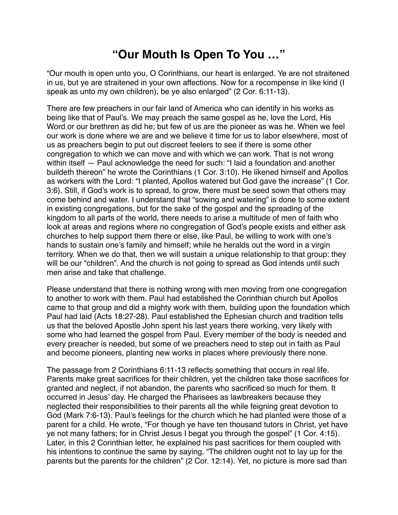## **"Our Mouth Is Open To You …"**

"Our mouth is open unto you, O Corinthians, our heart is enlarged. Ye are not straitened in us, but ye are straitened in your own affections. Now for a recompense in like kind (I speak as unto my own children), be ye also enlarged" (2 Cor. 6:11-13).

There are few preachers in our fair land of America who can identify in his works as being like that of Paul's. We may preach the same gospel as he, love the Lord, His Word or our brethren as did he; but few of us are the pioneer as was he. When we feel our work is done where we are and we believe it time for us to labor elsewhere, most of us as preachers begin to put out discreet feelers to see if there is some other congregation to which we can move and with which we can work. That is not wrong within itself — Paul acknowledge the need for such: "I laid a foundation and another buildeth thereon" he wrote the Corinthians (1 Cor. 3:10). He likened himself and Apollos as workers with the Lord: "I planted, Apollos watered but God gave the increase" (1 Cor. 3:6). Still, if God's work is to spread, to grow, there must be seed sown that others may come behind and water. I understand that "sowing and watering" is done to some extent in existing congregations, but for the sake of the gospel and the spreading of the kingdom to all parts of the world, there needs to arise a multitude of men of faith who look at areas and regions where no congregation of God's people exists and either ask churches to help support them there or else, like Paul, be willing to work with one's hands to sustain one's family and himself; while he heralds out the word in a virgin territory. When we do that, then we will sustain a unique relationship to that group: they will be our "children". And the church is not going to spread as God intends until such men arise and take that challenge.

Please understand that there is nothing wrong with men moving from one congregation to another to work with them. Paul had established the Corinthian church but Apollos came to that group and did a mighty work with them, building upon the foundation which Paul had laid (Acts 18:27-28). Paul established the Ephesian church and tradition tells us that the beloved Apostle John spent his last years there working, very likely with some who had learned the gospel from Paul. Every member of the body is needed and every preacher is needed, but some of we preachers need to step out in faith as Paul and become pioneers, planting new works in places where previously there none.

The passage from 2 Corinthians 6:11-13 reflects something that occurs in real life. Parents make great sacrifices for their children, yet the children take those sacrifices for granted and neglect, if not abandon, the parents who sacrificed so much for them. It occurred in Jesus' day. He charged the Pharisees as lawbreakers because they neglected their responsibilities to their parents all the while feigning great devotion to God (Mark 7:6-13). Paul's feelings for the church which he had planted were those of a parent for a child. He wrote, "For though ye have ten thousand tutors in Christ, yet have ye not many fathers; for in Christ Jesus I begat you through the gospel" (1 Cor. 4:15). Later, in this 2 Corinthian letter, he explained his past sacrifices for them coupled with his intentions to continue the same by saying, "The children ought not to lay up for the parents but the parents for the children" (2 Cor. 12:14). Yet, no picture is more sad than